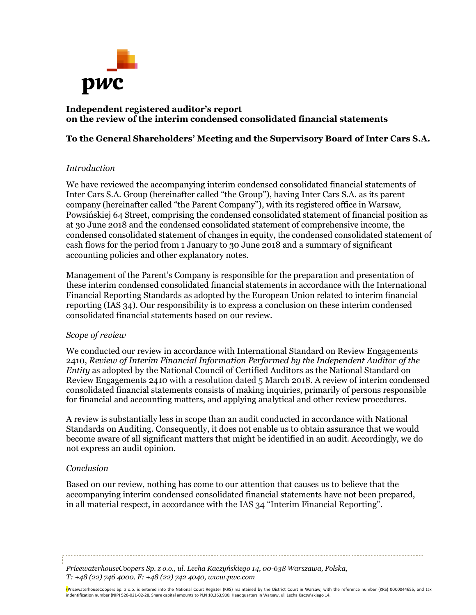

## **Independent registered auditor's report on the review of the interim condensed consolidated financial statements**

# **To the General Shareholders' Meeting and the Supervisory Board of Inter Cars S.A.**

## *Introduction*

We have reviewed the accompanying interim condensed consolidated financial statements of Inter Cars S.A. Group (hereinafter called "the Group"), having Inter Cars S.A. as its parent company (hereinafter called "the Parent Company"), with its registered office in Warsaw, Powsińskiej 64 Street, comprising the condensed consolidated statement of financial position as at 30 June 2018 and the condensed consolidated statement of comprehensive income, the condensed consolidated statement of changes in equity, the condensed consolidated statement of cash flows for the period from 1 January to 30 June 2018 and a summary of significant accounting policies and other explanatory notes.

Management of the Parent's Company is responsible for the preparation and presentation of these interim condensed consolidated financial statements in accordance with the International Financial Reporting Standards as adopted by the European Union related to interim financial reporting (IAS 34). Our responsibility is to express a conclusion on these interim condensed consolidated financial statements based on our review.

### *Scope of review*

We conducted our review in accordance with International Standard on Review Engagements 2410, *Review of Interim Financial Information Performed by the Independent Auditor of the Entity* as adopted by the National Council of Certified Auditors as the National Standard on Review Engagements 2410 with a resolution dated 5 March 2018. A review of interim condensed consolidated financial statements consists of making inquiries, primarily of persons responsible for financial and accounting matters, and applying analytical and other review procedures.

A review is substantially less in scope than an audit conducted in accordance with National Standards on Auditing. Consequently, it does not enable us to obtain assurance that we would become aware of all significant matters that might be identified in an audit. Accordingly, we do not express an audit opinion.

## *Conclusion*

Based on our review, nothing has come to our attention that causes us to believe that the accompanying interim condensed consolidated financial statements have not been prepared, in all material respect, in accordance with the IAS 34 "Interim Financial Reporting".

*PricewaterhouseCoopers Sp. z o.o., ul. Lecha Kaczyńskiego 14, 00-638 Warszawa, Polska, T: +48 (22) 746 4000, F: +48 (22) 742 4040, www.pwc.com*